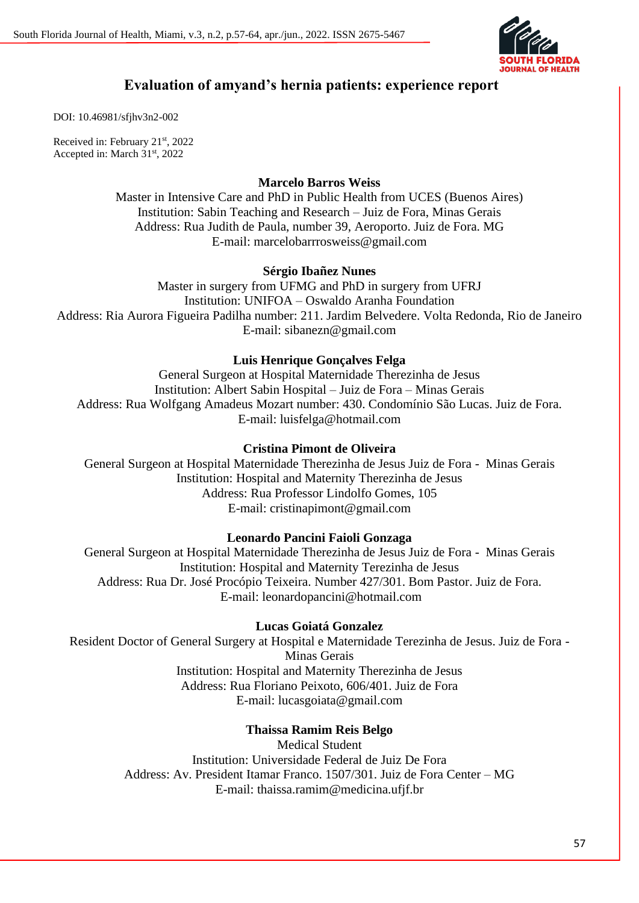

# **Evaluation of amyand's hernia patients: experience report**

DOI: 10.46981/sfjhv3n2-002

Received in: February 21st, 2022 Accepted in: March 31<sup>st</sup>, 2022

## **Marcelo Barros Weiss**

Master in Intensive Care and PhD in Public Health from UCES (Buenos Aires) Institution: Sabin Teaching and Research – Juiz de Fora, Minas Gerais Address: Rua Judith de Paula, number 39, Aeroporto. Juiz de Fora. MG E-mail: marcelobarrrosweiss@gmail.com

## **Sérgio Ibañez Nunes**

Master in surgery from UFMG and PhD in surgery from UFRJ Institution: UNIFOA – Oswaldo Aranha Foundation Address: Ria Aurora Figueira Padilha number: 211. Jardim Belvedere. Volta Redonda, Rio de Janeiro E-mail: sibanezn@gmail.com

## **Luis Henrique Gonçalves Felga**

General Surgeon at Hospital Maternidade Therezinha de Jesus Institution: Albert Sabin Hospital – Juiz de Fora – Minas Gerais Address: Rua Wolfgang Amadeus Mozart number: 430. Condomínio São Lucas. Juiz de Fora. E-mail: luisfelga@hotmail.com

## **Cristina Pimont de Oliveira**

General Surgeon at Hospital Maternidade Therezinha de Jesus Juiz de Fora - Minas Gerais Institution: Hospital and Maternity Therezinha de Jesus Address: Rua Professor Lindolfo Gomes, 105 E-mail: cristinapimont@gmail.com

## **Leonardo Pancini Faioli Gonzaga**

General Surgeon at Hospital Maternidade Therezinha de Jesus Juiz de Fora - Minas Gerais Institution: Hospital and Maternity Terezinha de Jesus Address: Rua Dr. José Procópio Teixeira. Number 427/301. Bom Pastor. Juiz de Fora. E-mail: leonardopancini@hotmail.com

## **Lucas Goiatá Gonzalez**

Resident Doctor of General Surgery at Hospital e Maternidade Terezinha de Jesus. Juiz de Fora - Minas Gerais Institution: Hospital and Maternity Therezinha de Jesus Address: Rua Floriano Peixoto, 606/401. Juiz de Fora E-mail: lucasgoiata@gmail.com

## **Thaissa Ramim Reis Belgo**

Medical Student Institution: Universidade Federal de Juiz De Fora Address: Av. President Itamar Franco. 1507/301. Juiz de Fora Center – MG E-mail: thaissa.ramim@medicina.ufjf.br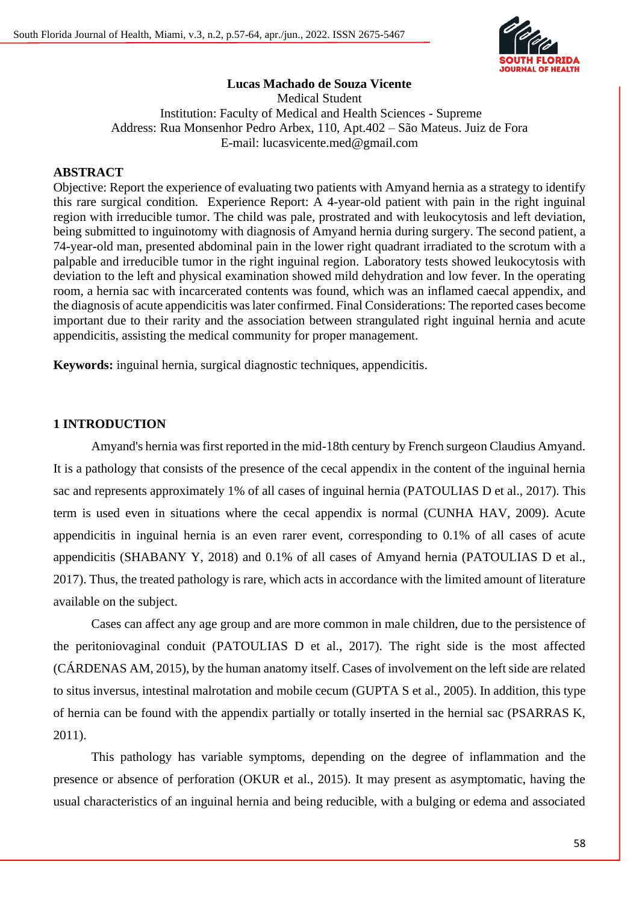

## **Lucas Machado de Souza Vicente**

Medical Student Institution: Faculty of Medical and Health Sciences - Supreme Address: Rua Monsenhor Pedro Arbex, 110, Apt.402 – São Mateus. Juiz de Fora E-mail: lucasvicente.med@gmail.com

## **ABSTRACT**

Objective: Report the experience of evaluating two patients with Amyand hernia as a strategy to identify this rare surgical condition. Experience Report: A 4-year-old patient with pain in the right inguinal region with irreducible tumor. The child was pale, prostrated and with leukocytosis and left deviation, being submitted to inguinotomy with diagnosis of Amyand hernia during surgery. The second patient, a 74-year-old man, presented abdominal pain in the lower right quadrant irradiated to the scrotum with a palpable and irreducible tumor in the right inguinal region. Laboratory tests showed leukocytosis with deviation to the left and physical examination showed mild dehydration and low fever. In the operating room, a hernia sac with incarcerated contents was found, which was an inflamed caecal appendix, and the diagnosis of acute appendicitis was later confirmed. Final Considerations: The reported cases become important due to their rarity and the association between strangulated right inguinal hernia and acute appendicitis, assisting the medical community for proper management.

**Keywords:** inguinal hernia, surgical diagnostic techniques, appendicitis.

#### **1 INTRODUCTION**

Amyand's hernia was first reported in the mid-18th century by French surgeon Claudius Amyand. It is a pathology that consists of the presence of the cecal appendix in the content of the inguinal hernia sac and represents approximately 1% of all cases of inguinal hernia (PATOULIAS D et al., 2017). This term is used even in situations where the cecal appendix is normal (CUNHA HAV, 2009). Acute appendicitis in inguinal hernia is an even rarer event, corresponding to 0.1% of all cases of acute appendicitis (SHABANY Y, 2018) and 0.1% of all cases of Amyand hernia (PATOULIAS D et al., 2017). Thus, the treated pathology is rare, which acts in accordance with the limited amount of literature available on the subject.

Cases can affect any age group and are more common in male children, due to the persistence of the peritoniovaginal conduit (PATOULIAS D et al., 2017). The right side is the most affected (CÁRDENAS AM, 2015), by the human anatomy itself. Cases of involvement on the left side are related to situs inversus, intestinal malrotation and mobile cecum (GUPTA S et al., 2005). In addition, this type of hernia can be found with the appendix partially or totally inserted in the hernial sac (PSARRAS K, 2011).

This pathology has variable symptoms, depending on the degree of inflammation and the presence or absence of perforation (OKUR et al., 2015). It may present as asymptomatic, having the usual characteristics of an inguinal hernia and being reducible, with a bulging or edema and associated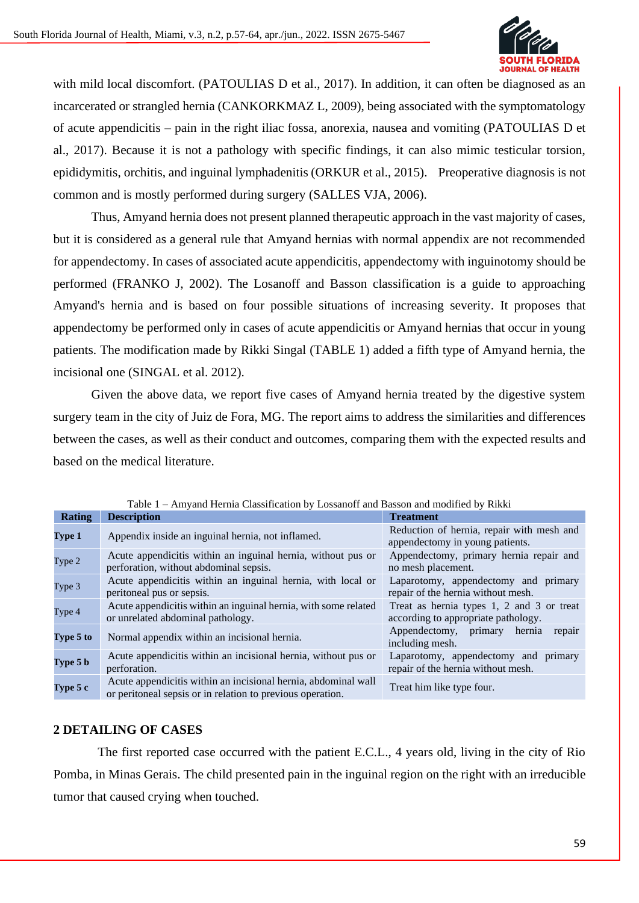

with mild local discomfort. (PATOULIAS D et al., 2017). In addition, it can often be diagnosed as an incarcerated or strangled hernia (CANKORKMAZ L, 2009), being associated with the symptomatology of acute appendicitis – pain in the right iliac fossa, anorexia, nausea and vomiting (PATOULIAS D et al., 2017). Because it is not a pathology with specific findings, it can also mimic testicular torsion, epididymitis, orchitis, and inguinal lymphadenitis (ORKUR et al., 2015). Preoperative diagnosis is not common and is mostly performed during surgery (SALLES VJA, 2006).

Thus, Amyand hernia does not present planned therapeutic approach in the vast majority of cases, but it is considered as a general rule that Amyand hernias with normal appendix are not recommended for appendectomy. In cases of associated acute appendicitis, appendectomy with inguinotomy should be performed (FRANKO J, 2002). The Losanoff and Basson classification is a guide to approaching Amyand's hernia and is based on four possible situations of increasing severity. It proposes that appendectomy be performed only in cases of acute appendicitis or Amyand hernias that occur in young patients. The modification made by Rikki Singal (TABLE 1) added a fifth type of Amyand hernia, the incisional one (SINGAL et al. 2012).

Given the above data, we report five cases of Amyand hernia treated by the digestive system surgery team in the city of Juiz de Fora, MG. The report aims to address the similarities and differences between the cases, as well as their conduct and outcomes, comparing them with the expected results and based on the medical literature.

| Table 1 – Amyand Hernia Classification by Lossanoff and Basson and modified by Rikki |                                                                                                                              |                                                                                  |
|--------------------------------------------------------------------------------------|------------------------------------------------------------------------------------------------------------------------------|----------------------------------------------------------------------------------|
| <b>Rating</b>                                                                        | <b>Description</b>                                                                                                           | <b>Treatment</b>                                                                 |
| Type 1                                                                               | Appendix inside an inguinal hernia, not inflamed.                                                                            | Reduction of hernia, repair with mesh and<br>appendectomy in young patients.     |
| Type 2                                                                               | Acute appendicitis within an inguinal hernia, without pus or<br>perforation, without abdominal sepsis.                       | Appendectomy, primary hernia repair and<br>no mesh placement.                    |
| Type 3                                                                               | Acute appendicitis within an inguinal hernia, with local or<br>peritoneal pus or sepsis.                                     | Laparotomy, appendectomy and primary<br>repair of the hernia without mesh.       |
| Type 4                                                                               | Acute appendicitis within an inguinal hernia, with some related<br>or unrelated abdominal pathology.                         | Treat as hernia types 1, 2 and 3 or treat<br>according to appropriate pathology. |
| Type 5 to                                                                            | Normal appendix within an incisional hernia.                                                                                 | Appendectomy, primary hernia<br>repair<br>including mesh.                        |
| Type $5b$                                                                            | Acute appendicitis within an incisional hernia, without pus or<br>perforation.                                               | Laparotomy, appendectomy and primary<br>repair of the hernia without mesh.       |
| Type 5 c                                                                             | Acute appendicitis within an incisional hernia, abdominal wall<br>or peritoneal sepsis or in relation to previous operation. | Treat him like type four.                                                        |

Table 1 – Amyand Hernia Classification by Lossanoff and Basson and modified by Rikki

## **2 DETAILING OF CASES**

 The first reported case occurred with the patient E.C.L., 4 years old, living in the city of Rio Pomba, in Minas Gerais. The child presented pain in the inguinal region on the right with an irreducible tumor that caused crying when touched.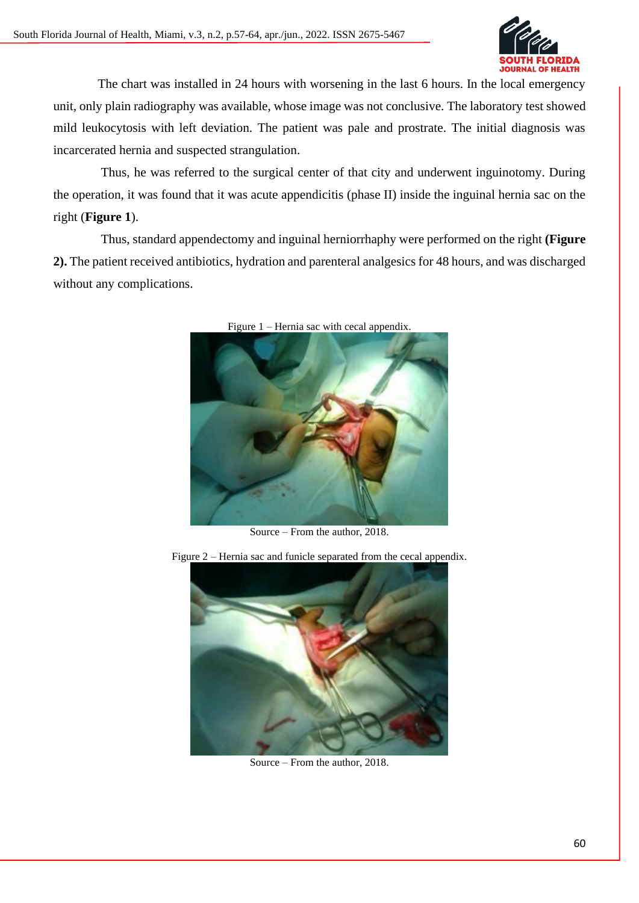

 The chart was installed in 24 hours with worsening in the last 6 hours. In the local emergency unit, only plain radiography was available, whose image was not conclusive. The laboratory test showed mild leukocytosis with left deviation. The patient was pale and prostrate. The initial diagnosis was incarcerated hernia and suspected strangulation.

 Thus, he was referred to the surgical center of that city and underwent inguinotomy. During the operation, it was found that it was acute appendicitis (phase II) inside the inguinal hernia sac on the right (**Figure 1**).

Thus, standard appendectomy and inguinal herniorrhaphy were performed on the right **(Figure 2).** The patient received antibiotics, hydration and parenteral analgesics for 48 hours, and was discharged without any complications.



Figure 1 – Hernia sac with cecal appendix.

Source – From the author, 2018.



Figure 2 – Hernia sac and funicle separated from the cecal appendix.

Source – From the author, 2018.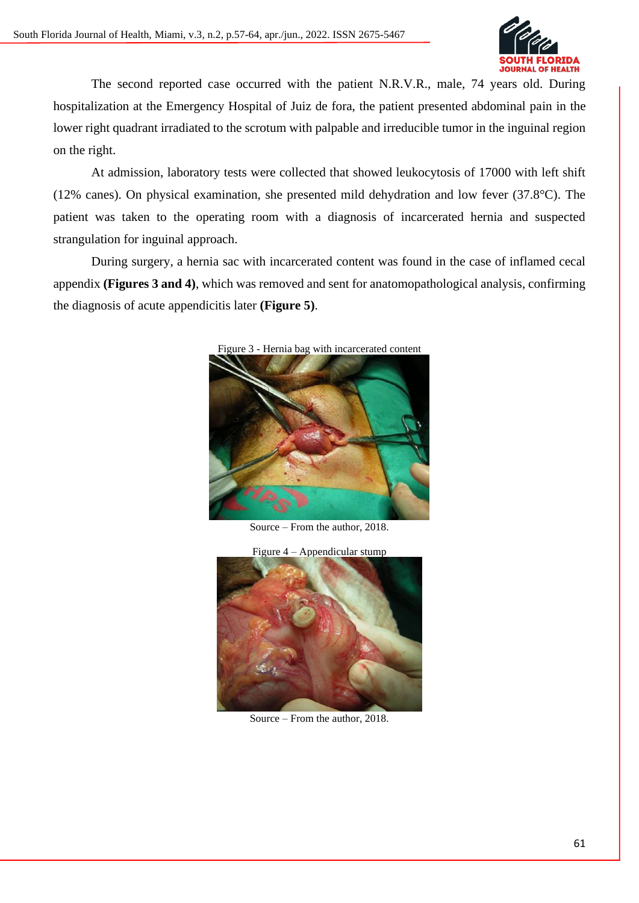

The second reported case occurred with the patient N.R.V.R., male, 74 years old. During hospitalization at the Emergency Hospital of Juiz de fora, the patient presented abdominal pain in the lower right quadrant irradiated to the scrotum with palpable and irreducible tumor in the inguinal region on the right.

At admission, laboratory tests were collected that showed leukocytosis of 17000 with left shift (12% canes). On physical examination, she presented mild dehydration and low fever (37.8°C). The patient was taken to the operating room with a diagnosis of incarcerated hernia and suspected strangulation for inguinal approach.

During surgery, a hernia sac with incarcerated content was found in the case of inflamed cecal appendix **(Figures 3 and 4)**, which was removed and sent for anatomopathological analysis, confirming the diagnosis of acute appendicitis later **(Figure 5)**.



Figure 3 - Hernia bag with incarcerated content

Source – From the author, 2018.



Source – From the author, 2018.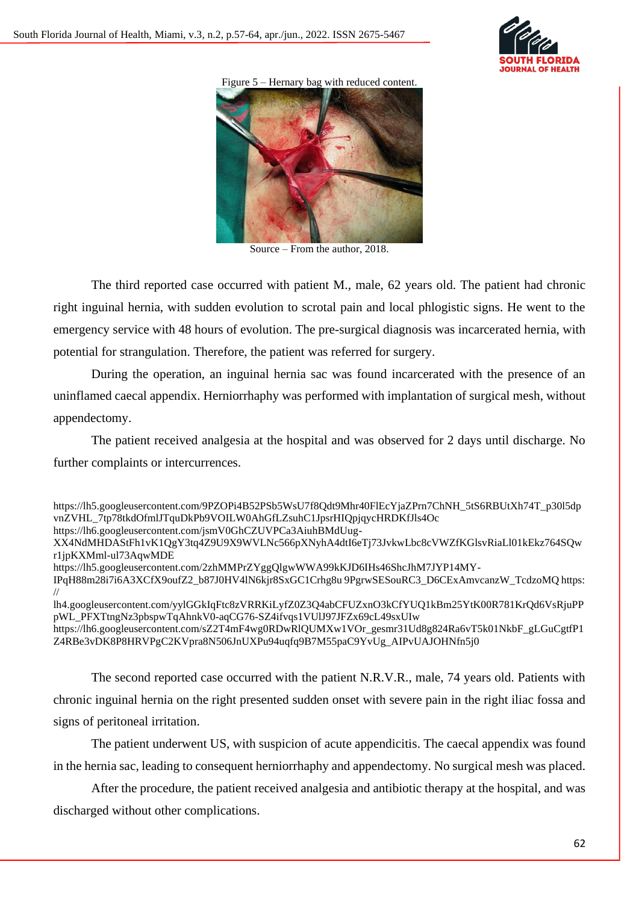

Figure 5 – Hernary bag with reduced content.



Source – From the author, 2018.

The third reported case occurred with patient M., male, 62 years old. The patient had chronic right inguinal hernia, with sudden evolution to scrotal pain and local phlogistic signs. He went to the emergency service with 48 hours of evolution. The pre-surgical diagnosis was incarcerated hernia, with potential for strangulation. Therefore, the patient was referred for surgery.

During the operation, an inguinal hernia sac was found incarcerated with the presence of an uninflamed caecal appendix. Herniorrhaphy was performed with implantation of surgical mesh, without appendectomy.

The patient received analgesia at the hospital and was observed for 2 days until discharge. No further complaints or intercurrences.

https://lh6.googleusercontent.com/sZ2T4mF4wg0RDwRlQUMXw1VOr\_gesmr31Ud8g824Ra6vT5k01NkbF\_gLGuCgtfP1 Z4RBe3vDK8P8HRVPgC2KVpra8N506JnUXPu94uqfq9B7M55paC9YvUg\_AIPvUAJOHNfn5j0

The second reported case occurred with the patient N.R.V.R., male, 74 years old. Patients with chronic inguinal hernia on the right presented sudden onset with severe pain in the right iliac fossa and signs of peritoneal irritation.

The patient underwent US, with suspicion of acute appendicitis. The caecal appendix was found in the hernia sac, leading to consequent herniorrhaphy and appendectomy. No surgical mesh was placed.

After the procedure, the patient received analgesia and antibiotic therapy at the hospital, and was discharged without other complications.

https://lh5.googleusercontent.com/9PZOPi4B52PSb5WsU7f8Odt9Mhr40FlEcYjaZPrn7ChNH\_5tS6RBUtXh74T\_p30l5dp vnZVHL\_7tp78tkdOfmlJTquDkPb9VOILW0AhGfLZsuhC1JpsrHIQpjqycHRDKfJls4Oc https://lh6.googleusercontent.com/jsmV0GhCZUVPCa3AiuhBMdUug-XX4NdMHDAStFh1vK1QgY3tq4Z9U9X9WVLNc566pXNyhA4dtI6eTj73JvkwLbc8cVWZfKGlsvRiaLl01kEkz764SQw r1jpKXMml-ul73AqwMDE https://lh5.googleusercontent.com/2zhMMPrZYggQlgwWWA99kKJD6IHs46ShcJhM7JYP14MY-

IPqH88m28i7i6A3XCfX9oufZ2\_b87J0HV4lN6kjr8SxGC1Crhg8u 9PgrwSESouRC3\_D6CExAmvcanzW\_TcdzoMQ https: //

lh4.googleusercontent.com/yylGGkIqFtc8zVRRKiLyfZ0Z3Q4abCFUZxnO3kCfYUQ1kBm25YtK00R781KrQd6VsRjuPP pWL\_PFXTtngNz3pbspwTqAhnkV0-aqCG76-SZ4ifvqs1VUlJ97JFZx69cL49sxUIw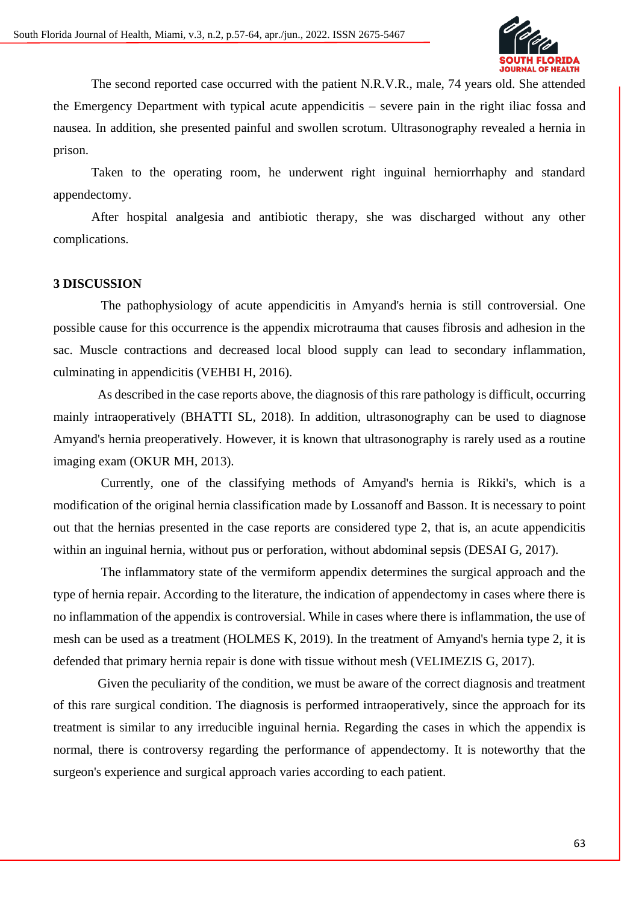

The second reported case occurred with the patient N.R.V.R., male, 74 years old. She attended the Emergency Department with typical acute appendicitis – severe pain in the right iliac fossa and nausea. In addition, she presented painful and swollen scrotum. Ultrasonography revealed a hernia in prison.

Taken to the operating room, he underwent right inguinal herniorrhaphy and standard appendectomy.

After hospital analgesia and antibiotic therapy, she was discharged without any other complications.

#### **3 DISCUSSION**

 The pathophysiology of acute appendicitis in Amyand's hernia is still controversial. One possible cause for this occurrence is the appendix microtrauma that causes fibrosis and adhesion in the sac. Muscle contractions and decreased local blood supply can lead to secondary inflammation, culminating in appendicitis (VEHBI H, 2016).

 As described in the case reports above, the diagnosis of this rare pathology is difficult, occurring mainly intraoperatively (BHATTI SL, 2018). In addition, ultrasonography can be used to diagnose Amyand's hernia preoperatively. However, it is known that ultrasonography is rarely used as a routine imaging exam (OKUR MH, 2013).

 Currently, one of the classifying methods of Amyand's hernia is Rikki's, which is a modification of the original hernia classification made by Lossanoff and Basson. It is necessary to point out that the hernias presented in the case reports are considered type 2, that is, an acute appendicitis within an inguinal hernia, without pus or perforation, without abdominal sepsis (DESAI G, 2017).

 The inflammatory state of the vermiform appendix determines the surgical approach and the type of hernia repair. According to the literature, the indication of appendectomy in cases where there is no inflammation of the appendix is controversial. While in cases where there is inflammation, the use of mesh can be used as a treatment (HOLMES K, 2019). In the treatment of Amyand's hernia type 2, it is defended that primary hernia repair is done with tissue without mesh (VELIMEZIS G, 2017).

 Given the peculiarity of the condition, we must be aware of the correct diagnosis and treatment of this rare surgical condition. The diagnosis is performed intraoperatively, since the approach for its treatment is similar to any irreducible inguinal hernia. Regarding the cases in which the appendix is normal, there is controversy regarding the performance of appendectomy. It is noteworthy that the surgeon's experience and surgical approach varies according to each patient.